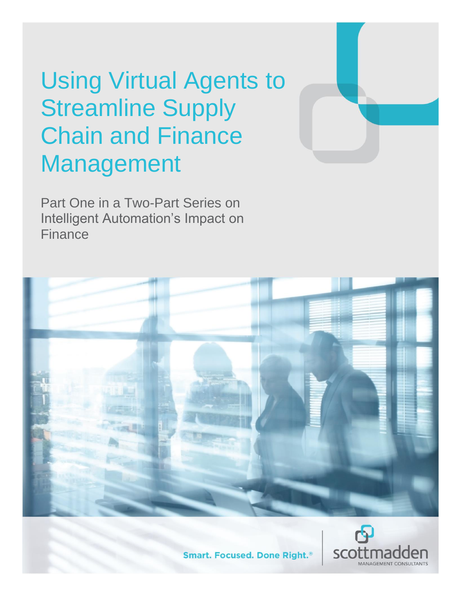# Using Virtual Agents to Streamline Supply Chain and Finance Management

Part One in a Two-Part Series on Intelligent Automation's Impact on Finance





**Smart. Focused. Done Right.**<sup>®</sup>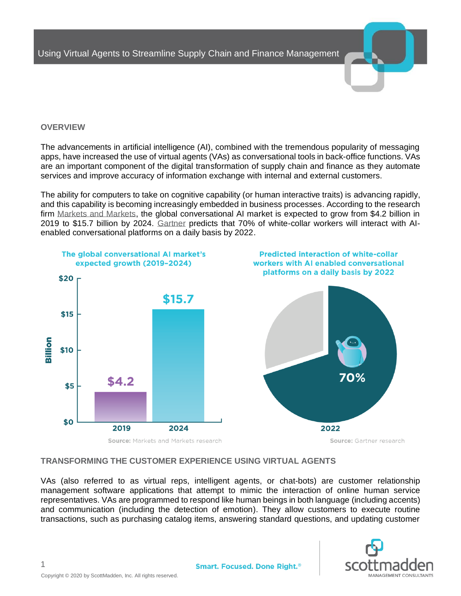

## **OVERVIEW**

The advancements in artificial intelligence (AI), combined with the tremendous popularity of messaging apps, have increased the use of virtual agents (VAs) as conversational tools in back-office functions. VAs are an important component of the digital transformation of supply chain and finance as they automate services and improve accuracy of information exchange with internal and external customers.

The ability for computers to take on cognitive capability (or human interactive traits) is advancing rapidly, and this capability is becoming increasingly embedded in business processes. According to the research firm [Markets and Markets,](https://www.marketsandmarkets.com/Market-Reports/conversational-ai-market-49043506.html?gclid=EAIaIQobChMI9Pil4ou15QIVBofVCh3PaQQgEAAYASAAEgKIPvD_BwE) the global conversational AI market is expected to grow from \$4.2 billion in 2019 to \$15.7 billion by 2024. [Gartner](https://www.gartner.com/smarterwithgartner/chatbots-will-appeal-to-modern-workers/) predicts that 70% of white-collar workers will interact with AIenabled conversational platforms on a daily basis by 2022.



#### **TRANSFORMING THE CUSTOMER EXPERIENCE USING VIRTUAL AGENTS**

VAs (also referred to as virtual reps, intelligent agents, or chat-bots) are customer relationship management software applications that attempt to mimic the interaction of online human service representatives. VAs are programmed to respond like human beings in both language (including accents) and communication (including the detection of emotion). They allow customers to execute routine transactions, such as purchasing catalog items, answering standard questions, and updating customer



1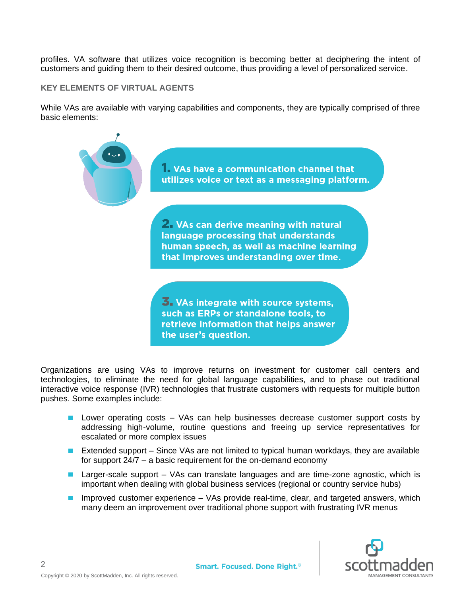profiles. VA software that utilizes voice recognition is becoming better at deciphering the intent of customers and guiding them to their desired outcome, thus providing a level of personalized service.

## **KEY ELEMENTS OF VIRTUAL AGENTS**

While VAs are available with varying capabilities and components, they are typically comprised of three basic elements:



Organizations are using VAs to improve returns on investment for customer call centers and technologies, to eliminate the need for global language capabilities, and to phase out traditional interactive voice response (IVR) technologies that frustrate customers with requests for multiple button pushes. Some examples include:

- **Lower operating costs VAs can help businesses decrease customer support costs by** addressing high-volume, routine questions and freeing up service representatives for escalated or more complex issues
- Extended support Since VAs are not limited to typical human workdays, they are available for support 24/7 – a basic requirement for the on-demand economy
- **Larger-scale support** VAs can translate languages and are time-zone agnostic, which is important when dealing with global business services (regional or country service hubs)
- Improved customer experience  $-$  VAs provide real-time, clear, and targeted answers, which many deem an improvement over traditional phone support with frustrating IVR menus

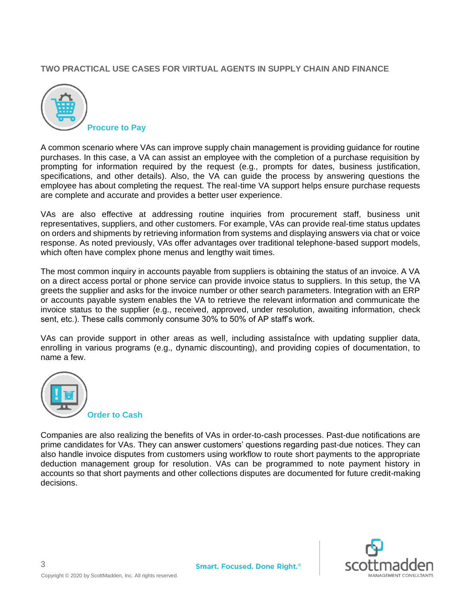# **TWO PRACTICAL USE CASES FOR VIRTUAL AGENTS IN SUPPLY CHAIN AND FINANCE**



A common scenario where VAs can improve supply chain management is providing guidance for routine purchases. In this case, a VA can assist an employee with the completion of a purchase requisition by prompting for information required by the request (e.g., prompts for dates, business justification, specifications, and other details). Also, the VA can guide the process by answering questions the employee has about completing the request. The real-time VA support helps ensure purchase requests are complete and accurate and provides a better user experience.

VAs are also effective at addressing routine inquiries from procurement staff, business unit representatives, suppliers, and other customers. For example, VAs can provide real-time status updates on orders and shipments by retrieving information from systems and displaying answers via chat or voice response. As noted previously, VAs offer advantages over traditional telephone-based support models, which often have complex phone menus and lengthy wait times.

The most common inquiry in accounts payable from suppliers is obtaining the status of an invoice. A VA on a direct access portal or phone service can provide invoice status to suppliers. In this setup, the VA greets the supplier and asks for the invoice number or other search parameters. Integration with an ERP or accounts payable system enables the VA to retrieve the relevant information and communicate the invoice status to the supplier (e.g., received, approved, under resolution, awaiting information, check sent, etc.). These calls commonly consume 30% to 50% of AP staff's work.

VAs can provide support in other areas as well, including assistaÍnce with updating supplier data, enrolling in various programs (e.g., dynamic discounting), and providing copies of documentation, to name a few.



Companies are also realizing the benefits of VAs in order-to-cash processes. Past-due notifications are prime candidates for VAs. They can answer customers' questions regarding past-due notices. They can also handle invoice disputes from customers using workflow to route short payments to the appropriate deduction management group for resolution. VAs can be programmed to note payment history in accounts so that short payments and other collections disputes are documented for future credit-making decisions.